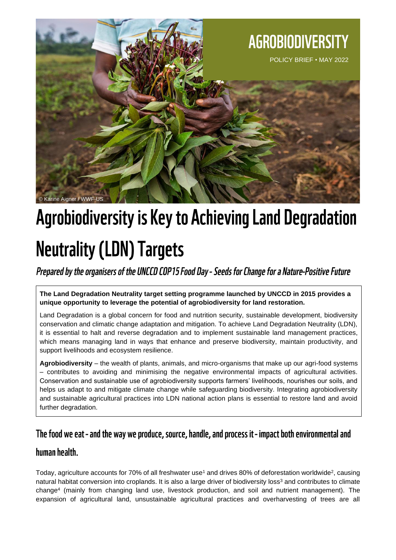

# **Agrobiodiversity is Key to Achieving Land Degradation Neutrality (LDN) Targets**

# Prepared by the organisers of the UNCCD COP15 Food Day - Seeds for Change for a Nature-Positive Future

**The Land Degradation Neutrality target setting programme launched by UNCCD in 2015 provides a unique opportunity to leverage the potential of agrobiodiversity for land restoration.**

Land Degradation is a global concern for food and nutrition security, sustainable development, biodiversity conservation and climatic change adaptation and mitigation. To achieve Land Degradation Neutrality (LDN), it is essential to halt and reverse degradation and to implement sustainable land management practices, which means managing land in ways that enhance and preserve biodiversity, maintain productivity, and support livelihoods and ecosystem resilience.

**Agrobiodiversity** – the wealth of plants, animals, and micro-organisms that make up our agri-food systems – contributes to avoiding and minimising the negative environmental impacts of agricultural activities. Conservation and sustainable use of agrobiodiversity supports farmers' livelihoods, nourishes our soils, and helps us adapt to and mitigate climate change while safeguarding biodiversity. Integrating agrobiodiversity and sustainable agricultural practices into LDN national action plans is essential to restore land and avoid further degradation.

## The food we eat - and the way we produce, source, handle, and process it - impact both environmental and

### human health.

Today, agriculture accounts for 70% of all freshwater use<sup>1</sup> and drives 80% of deforestation worldwide<sup>2</sup>, causing natural habitat conversion into croplands. It is also a large driver of biodiversity loss<sup>3</sup> and contributes to climate change<sup>4</sup> (mainly from changing land use, livestock production, and soil and nutrient management). The expansion of agricultural land, unsustainable agricultural practices and overharvesting of trees are all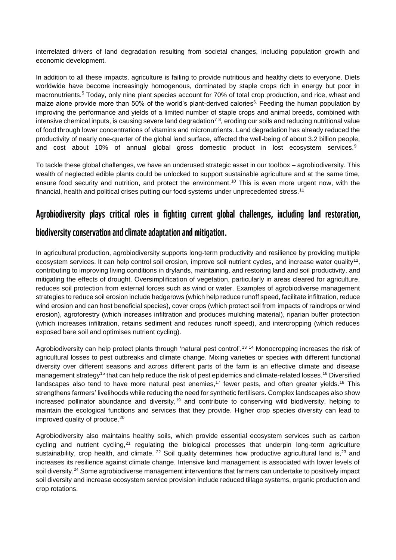interrelated drivers of land degradation resulting from societal changes, including population growth and economic development.

In addition to all these impacts, agriculture is failing to provide nutritious and healthy diets to everyone. Diets worldwide have become increasingly homogenous, dominated by staple crops rich in energy but poor in macronutrients.<sup>5</sup> Today, only nine plant species account for 70% of total crop production, and rice, wheat and maize alone provide more than 50% of the world's plant-derived calories<sup>6.</sup> Feeding the human population by improving the performance and yields of a limited number of staple crops and animal breeds, combined with intensive chemical inputs, is causing severe land degradation<sup>78</sup>, eroding our soils and reducing nutritional value of food through lower concentrations of vitamins and micronutrients. Land degradation has already reduced the productivity of nearly one-quarter of the global land surface, affected the well-being of about 3.2 billion people, and cost about 10% of annual global gross domestic product in lost ecosystem services.<sup>9</sup>

To tackle these global challenges, we have an underused strategic asset in our toolbox – agrobiodiversity. This wealth of neglected edible plants could be unlocked to support sustainable agriculture and at the same time, ensure food security and nutrition, and protect the environment.<sup>10</sup> This is even more urgent now, with the financial, health and political crises putting our food systems under unprecedented stress.<sup>11</sup>

## Agrobiodiversity plays critical roles in fighting current global challenges, including land restoration,

#### biodiversity conservation and climate adaptation and mitigation.

In agricultural production, agrobiodiversity supports long-term productivity and resilience by providing multiple ecosystem services. It can help control soil erosion, improve soil nutrient cycles, and increase water quality<sup>12</sup>, contributing to improving living conditions in drylands, maintaining, and restoring land and soil productivity, and mitigating the effects of drought. Oversimplification of vegetation, particularly in areas cleared for agriculture, reduces soil protection from external forces such as wind or water. Examples of agrobiodiverse management strategies to reduce soil erosion include hedgerows (which help reduce runoff speed, facilitate infiltration, reduce wind erosion and can host beneficial species), cover crops (which protect soil from impacts of raindrops or wind erosion), agroforestry (which increases infiltration and produces mulching material), riparian buffer protection (which increases infiltration, retains sediment and reduces runoff speed), and intercropping (which reduces exposed bare soil and optimises nutrient cycling).

Agrobiodiversity can help protect plants through 'natural pest control'.<sup>13 14</sup> Monocropping increases the risk of agricultural losses to pest outbreaks and climate change. Mixing varieties or species with different functional diversity over different seasons and across different parts of the farm is an effective climate and disease management strategy<sup>15</sup> that can help reduce the risk of pest epidemics and climate-related losses.<sup>16</sup> Diversified landscapes also tend to have more natural pest enemies,<sup>17</sup> fewer pests, and often greater yields.<sup>18</sup> This strengthens farmers' livelihoods while reducing the need for synthetic fertilisers. Complex landscapes also show increased pollinator abundance and diversity,<sup>19</sup> and contribute to conserving wild biodiversity, helping to maintain the ecological functions and services that they provide. Higher crop species diversity can lead to improved quality of produce.<sup>20</sup>

Agrobiodiversity also maintains healthy soils, which provide essential ecosystem services such as carbon cycling and nutrient cycling,<sup>21</sup> regulating the biological processes that underpin long-term agriculture sustainability, crop health, and climate. <sup>22</sup> Soil quality determines how productive agricultural land is,<sup>23</sup> and increases its resilience against climate change. Intensive land management is associated with lower levels of soil diversity.<sup>24</sup> Some agrobiodiverse management interventions that farmers can undertake to positively impact soil diversity and increase ecosystem service provision include reduced tillage systems, organic production and crop rotations.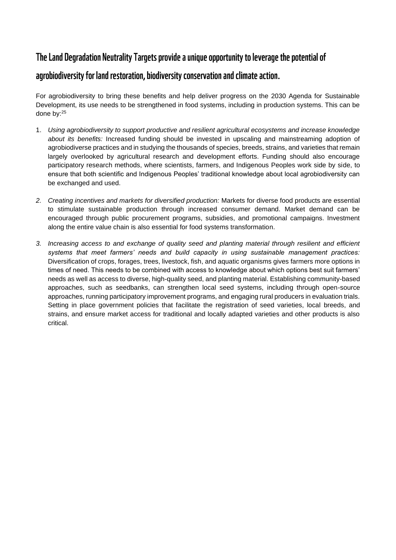## The Land Degradation Neutrality Targets provide a unique opportunity to leverage the potential of

## agrobiodiversity for land restoration, biodiversity conservation and climate action.

For agrobiodiversity to bring these benefits and help deliver progress on the 2030 Agenda for Sustainable Development, its use needs to be strengthened in food systems, including in production systems. This can be done by:<sup>25</sup>

- 1. *Using agrobiodiversity to support productive and resilient agricultural ecosystems and increase knowledge about its benefits:* Increased funding should be invested in upscaling and mainstreaming adoption of agrobiodiverse practices and in studying the thousands of species, breeds, strains, and varieties that remain largely overlooked by agricultural research and development efforts. Funding should also encourage participatory research methods, where scientists, farmers, and Indigenous Peoples work side by side, to ensure that both scientific and Indigenous Peoples' traditional knowledge about local agrobiodiversity can be exchanged and used.
- *2. Creating incentives and markets for diversified production:* Markets for diverse food products are essential to stimulate sustainable production through increased consumer demand. Market demand can be encouraged through public procurement programs, subsidies, and promotional campaigns. Investment along the entire value chain is also essential for food systems transformation.
- *3. Increasing access to and exchange of quality seed and planting material through resilient and efficient systems that meet farmers' needs and build capacity in using sustainable management practices:*  Diversification of crops, forages, trees, livestock, fish, and aquatic organisms gives farmers more options in times of need. This needs to be combined with access to knowledge about which options best suit farmers' needs as well as access to diverse, high-quality seed, and planting material. Establishing community-based approaches, such as seedbanks, can strengthen local seed systems, including through open-source approaches, running participatory improvement programs, and engaging rural producers in evaluation trials. Setting in place government policies that facilitate the registration of seed varieties, local breeds, and strains, and ensure market access for traditional and locally adapted varieties and other products is also critical.